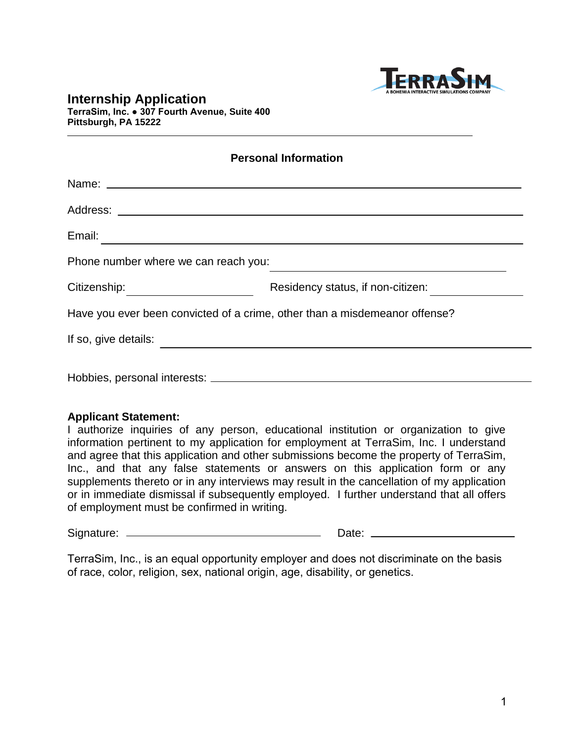

# **Internship Application**

**TerraSim, Inc. ● 307 Fourth Avenue, Suite 400 Pittsburgh, PA 15222**

## **Personal Information**

| Email:                               |                                                                            |
|--------------------------------------|----------------------------------------------------------------------------|
| Phone number where we can reach you: |                                                                            |
| Citizenship:                         | Residency status, if non-citizen:                                          |
|                                      | Have you ever been convicted of a crime, other than a misdemeanor offense? |
| If so, give details:                 |                                                                            |
|                                      |                                                                            |

#### **Applicant Statement:**

I authorize inquiries of any person, educational institution or organization to give information pertinent to my application for employment at TerraSim, Inc. I understand and agree that this application and other submissions become the property of TerraSim, Inc., and that any false statements or answers on this application form or any supplements thereto or in any interviews may result in the cancellation of my application or in immediate dismissal if subsequently employed. I further understand that all offers of employment must be confirmed in writing.

Signature: Date:

TerraSim, Inc., is an equal opportunity employer and does not discriminate on the basis of race, color, religion, sex, national origin, age, disability, or genetics.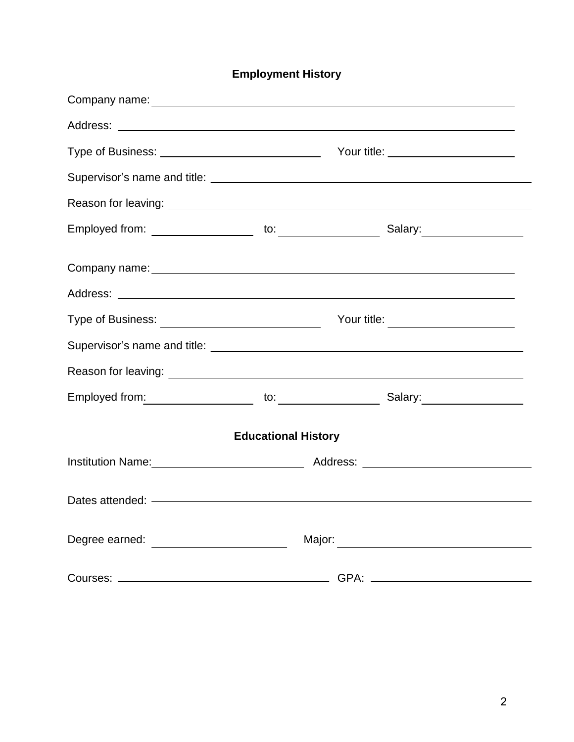# **Employment History**

| Type of Business: ____________________________ |                            | Your title:                                       |  |
|------------------------------------------------|----------------------------|---------------------------------------------------|--|
|                                                |                            |                                                   |  |
|                                                |                            |                                                   |  |
|                                                |                            |                                                   |  |
|                                                | <b>Educational History</b> |                                                   |  |
|                                                |                            |                                                   |  |
|                                                |                            |                                                   |  |
| Degree earned: __________________              |                            | Major:<br><u> 1989 - Andrea Station Barbara (</u> |  |
|                                                |                            |                                                   |  |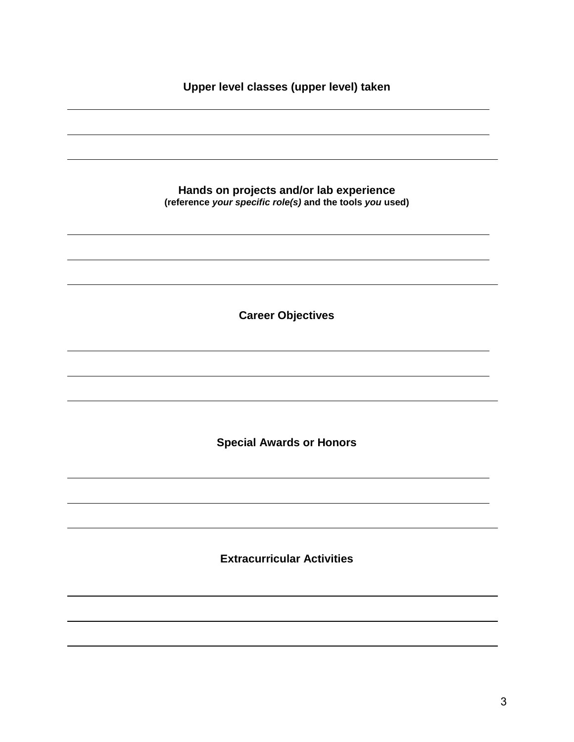**Upper level classes (upper level) taken** 

**Hands on projects and/or lab experience (reference** *your specific role(s)* **and the tools** *you* **used) Career Objectives Special Awards or Honors Extracurricular Activities**